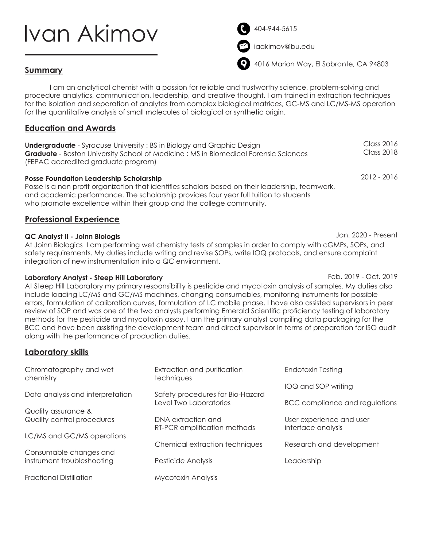# Ivan Akimov

404-944-5615



iaakimov@bu.edu



4016 Marion Way, El Sobrante, CA 94803

## **Summary**

I am an analytical chemist with a passion for reliable and trustworthy science, problem-solving and procedure analytics, communication, leadership, and creative thought. I am trained in extraction techniques for the isolation and separation of analytes from complex biological matrices, GC-MS and LC/MS-MS operation for the quantitative analysis of small molecules of biological or synthetic origin.

## **Education and Awards**

| <b>Undergraduate</b> - Syracuse University : BS in Biology and Graphic Design               | Class 2016 |
|---------------------------------------------------------------------------------------------|------------|
| <b>Graduate</b> - Boston University School of Medicine : MS in Biomedical Forensic Sciences | Class 2018 |
| (FEPAC accredited graduate program)                                                         |            |

**Posse Foundation Leadership Scholarship** 

Posse is a non profit organization that identifies scholars based on their leadership, teamwork, and academic performance. The scholarship provides four year full tuition to students who promote excellence within their group and the college community.

## **Professional Experience**

#### **QC Analyst II - Joinn Biologis**

At Joinn Biologics I am performing wet chemistry tests of samples in order to comply with cGMPs, SOPs, and safety requirements. My duties include writing and revise SOPs, write IOQ protocols, and ensure complaint integration of new instrumentation into a QC environment.

#### **Laboratory Analyst - Steep Hill Laboratory**

At Steep Hill Laboratory my primary responsibility is pesticide and mycotoxin analysis of samples. My duties also include loading LC/MS and GC/MS machines, changing consumables, monitoring instruments for possible errors, formulation of calibration curves, formulation of LC mobile phase. I have also assisted supervisors in peer review of SOP and was one of the two analysts performing Emerald Scientific proficiency testing of laboratory methods for the pesticide and mycotoxin assay. I am the primary analyst compiling data packaging for the BCC and have been assisting the development team and direct supervisor in terms of preparation for ISO audit along with the performance of production duties.

### **Laboratory skills**

| Chromatography and wet<br>chemistry | Extraction and purification<br>techniques                  | Endotoxin Testing                              |
|-------------------------------------|------------------------------------------------------------|------------------------------------------------|
|                                     |                                                            | IOQ and SOP writing                            |
| Data analysis and interpretation    | Safety procedures for Bio-Hazard<br>Level Two Laboratories | BCC compliance and regulations                 |
| Quality assurance &                 |                                                            |                                                |
| Quality control procedures          | DNA extraction and<br>RT-PCR amplification methods         | User experience and user<br>interface analysis |
| LC/MS and GC/MS operations          |                                                            |                                                |
|                                     | Chemical extraction techniques                             | Research and development                       |
| Consumable changes and              |                                                            |                                                |
| instrument troubleshooting          | Pesticide Analysis                                         | Leadership                                     |
| <b>Fractional Distillation</b>      | <b>Mycotoxin Analysis</b>                                  |                                                |

Feb. 2019 - Oct. 2019

Jan. 2020 - Present

2012 - 2016